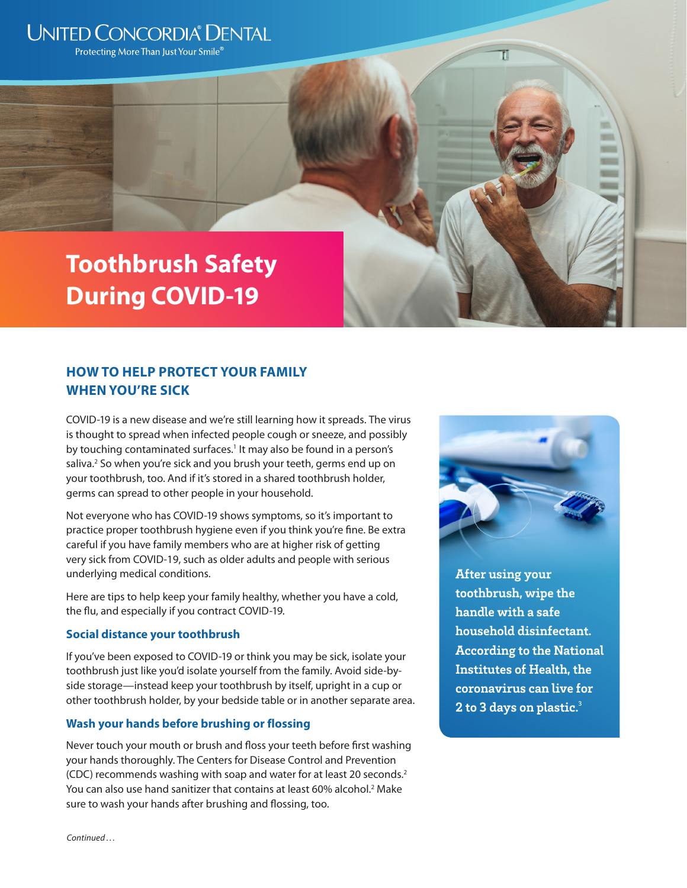## **UNITED CONCORDIA® DENTAL**

Protecting More Than Just Your Smile®

# **Toothbrush Safety During COVID-19**

### **HOW TO HELP PROTECT YOUR FAMILY WHEN YOU'RE SICK**

COVID-19 is a new disease and we're still learning how it spreads. The virus is thought to spread when infected people cough or sneeze, and possibly by touching contaminated surfaces.<sup>1</sup> It may also be found in a person's saliva.<sup>2</sup> So when you're sick and you brush your teeth, germs end up on your toothbrush, too. And if it's stored in a shared toothbrush holder, germs can spread to other people in your household.

Not everyone who has COVID-19 shows symptoms, so it's important to practice proper toothbrush hygiene even if you think you're fine. Be extra careful if you have family members who are at higher risk of getting very sick from COVID-19, such as older adults and people with serious underlying medical conditions.

Here are tips to help keep your family healthy, whether you have a cold, the flu, and especially if you contract COVID-19.

#### **Social distance your toothbrush**

If you've been exposed to COVID-19 or think you may be sick, isolate your toothbrush just like you'd isolate yourself from the family. Avoid side-byside storage—instead keep your toothbrush by itself, upright in a cup or other toothbrush holder, by your bedside table or in another separate area.

#### **Wash your hands before brushing or flossing**

Never touch your mouth or brush and floss your teeth before first washing your hands thoroughly. The Centers for Disease Control and Prevention (CDC) recommends washing with soap and water for at least 20 seconds.2 You can also use hand sanitizer that contains at least 60% alcohol.<sup>2</sup> Make sure to wash your hands after brushing and flossing, too.



π

**After using your toothbrush, wipe the handle with a safe household disinfectant. According to the National Institutes of Health, the coronavirus can live for 2 to 3 days on plastic.**<sup>3</sup>